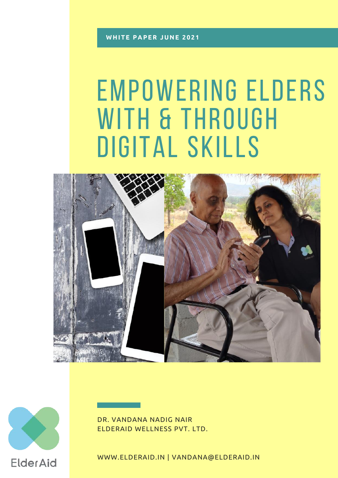# EMPOWERING ELDERS WITH & THROUGH DIGITAL SKILLS





DR. VANDANA NADIG NAIR ELDERAID WELLNESS PVT. LTD.

WWW.ELDERAID.IN | VANDANA@ELDERAID.IN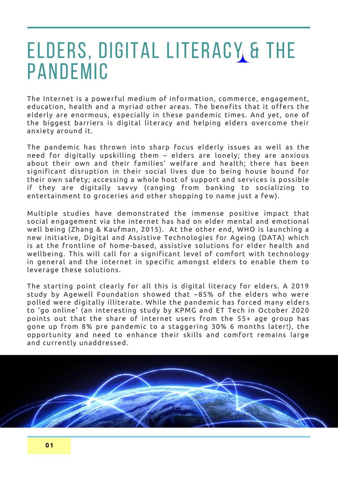### ELDERS, DIGITAL LITERACY & THE PANDEMIC

The Internet is a powerful medium of information, commerce, engagement, education, health and a myriad other areas. The benefits that it offers the elderly are enormous, especially in these pandemic times. And yet, one of the biggest barriers is digital literacy and helping elders overcome their anxiety around it.

The pandemic has thrown into sharp focus elderly issues as well as the need for digitally upskilling them – elders are lonely; they are anxious about their own and their families' welfare and health; there has been significant disruption in their social lives due to being house bound for their own safety; accessing a whole host of support and services is possible if they are digitally savvy (ranging from banking to socializing to entertainment to groceries and other shopping to name just a few).

Multiple studies have demonstrated the immense positive impact that social engagement via the internet has had on elder mental and emotional well being (Zhang & Kaufman, 2015). At the other end, WHO is launching a new initiative, Digital and Assistive Technologies for Ageing (DATA) which is at the frontline of home-based, assistive solutions for elder health and wellbeing. This will call for a significant level of comfort with technology in general and the internet in specific amongst elders to enable them to leverage these solutions.

The starting point clearly for all this is digital literacy for elders. A 2019 study by Agewell Foundation showed that ~85% of the elders who were polled were digitally illiterate. While the pandemic has forced many elders to 'go online' (an interesting study by KPMG and ET Tech in October 2020 points out that the share of internet users from the 55+ age group has gone up from 8% pre pandemic to a staggering 30% 6 months later!), the opportunity and need to enhance their skills and comfort remains large and currently unaddressed.

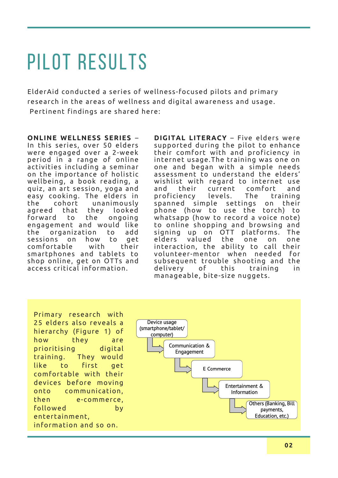# pilot results

ElderAid conducted a series of wellness-focused pilots and primary research in the areas of wellness and digital awareness and usage. Pertinent findings are shared here:

**ONLINE WELLNESS SERIES** – In this series, over 50 elders were engaged over a 2-week period in a range of online activities including a seminar on the importance of holistic wellbeing, a book reading, a quiz, an art session, yoga and easy cooking. The elders in the cohort unanimously agreed that they looked forward to the ongoing engagement and would like the organization to add sessions on how to get comfortable with their smartphones and tablets to shop online, get on OTTs and access critical information.

**DIGITAL LITERACY** – Five elders were supported during the pilot to enhance their comfort with and proficiency in internet usage.The training was one on one and began with a simple needs assessment to understand the elders' wishlist with regard to internet use and their current comfort and proficiency levels. The training spanned simple settings on their phone (how to use the torch) to whatsapp (how to record a voice note) to online shopping and browsing and signing up on OTT platforms. The elders valued the one on one interaction, the ability to call their volunteer-mentor when needed for subsequent trouble shooting and the delivery of this training in manageable, bite-size nuggets.

Primary research with 25 elders also reveals a hierarchy (Figure 1) of how they are prioritising digital training. They would like to first get comfortable with their devices before moving onto communication, then e-commerce, followed by entertainment, information and so on.